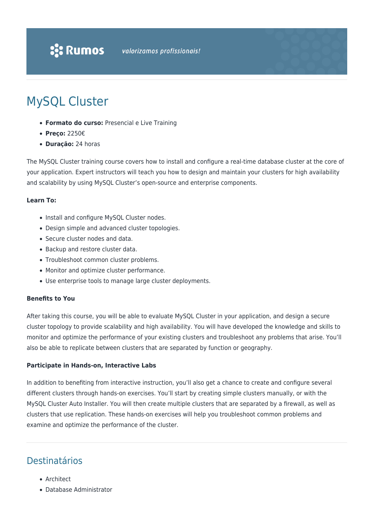# MySQL Cluster

- **Formato do curso:** Presencial e Live Training
- **Preço:** 2250€
- **Duração:** 24 horas

The MySQL Cluster training course covers how to install and configure a real-time database cluster at the core of your application. Expert instructors will teach you how to design and maintain your clusters for high availability and scalability by using MySQL Cluster's open-source and enterprise components.

## **Learn To:**

- Install and configure MySQL Cluster nodes.
- Design simple and advanced cluster topologies.
- Secure cluster nodes and data.
- Backup and restore cluster data.
- Troubleshoot common cluster problems.
- Monitor and optimize cluster performance.
- Use enterprise tools to manage large cluster deployments.

#### **Benefits to You**

After taking this course, you will be able to evaluate MySQL Cluster in your application, and design a secure cluster topology to provide scalability and high availability. You will have developed the knowledge and skills to monitor and optimize the performance of your existing clusters and troubleshoot any problems that arise. You'll also be able to replicate between clusters that are separated by function or geography.

#### **Participate in Hands-on, Interactive Labs**

In addition to benefiting from interactive instruction, you'll also get a chance to create and configure several different clusters through hands-on exercises. You'll start by creating simple clusters manually, or with the MySQL Cluster Auto Installer. You will then create multiple clusters that are separated by a firewall, as well as clusters that use replication. These hands-on exercises will help you troubleshoot common problems and examine and optimize the performance of the cluster.

# Destinatários

- Architect
- Database Administrator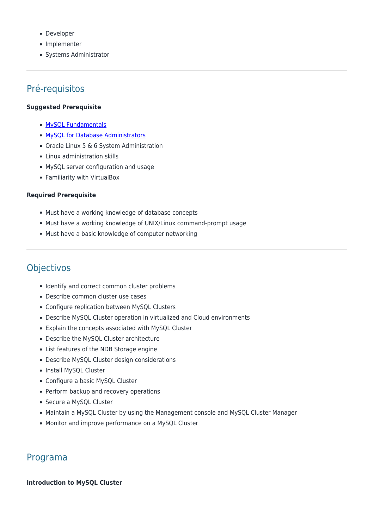- Developer
- Implementer
- Systems Administrator

# Pré-requisitos

#### **Suggested Prerequisite**

- [MySQL Fundamentals](https://rumos.pt/curso/mysql-fundamentals/)
- [MySQL for Database Administrators](https://rumos.pt/curso/mysql-for-database-administrators/)
- Oracle Linux 5 & 6 System Administration
- Linux administration skills
- MySQL server configuration and usage
- Familiarity with VirtualBox

#### **Required Prerequisite**

- Must have a working knowledge of database concepts
- Must have a working knowledge of UNIX/Linux command-prompt usage
- Must have a basic knowledge of computer networking

# Objectivos

- Identify and correct common cluster problems
- Describe common cluster use cases
- Configure replication between MySQL Clusters
- Describe MySQL Cluster operation in virtualized and Cloud environments
- Explain the concepts associated with MySQL Cluster
- Describe the MySQL Cluster architecture
- List features of the NDB Storage engine
- Describe MySQL Cluster design considerations
- Install MySQL Cluster
- Configure a basic MySQL Cluster
- Perform backup and recovery operations
- Secure a MySQL Cluster
- Maintain a MySQL Cluster by using the Management console and MySQL Cluster Manager
- Monitor and improve performance on a MySQL Cluster

# Programa

#### **Introduction to MySQL Cluster**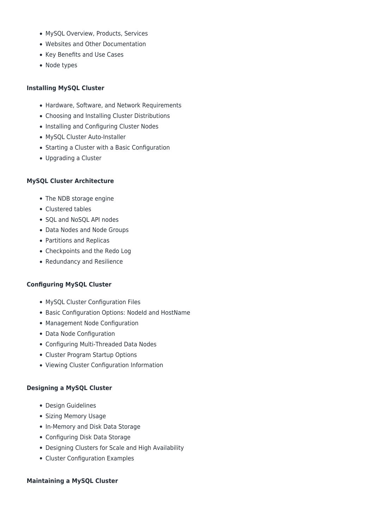- MySQL Overview, Products, Services
- Websites and Other Documentation
- Key Benefits and Use Cases
- Node types

#### **Installing MySQL Cluster**

- Hardware, Software, and Network Requirements
- Choosing and Installing Cluster Distributions
- Installing and Configuring Cluster Nodes
- MySQL Cluster Auto-Installer
- Starting a Cluster with a Basic Configuration
- Upgrading a Cluster

#### **MySQL Cluster Architecture**

- The NDB storage engine
- Clustered tables
- SQL and NoSQL API nodes
- Data Nodes and Node Groups
- Partitions and Replicas
- Checkpoints and the Redo Log
- Redundancy and Resilience

## **Configuring MySQL Cluster**

- MySQL Cluster Configuration Files
- Basic Configuration Options: Nodeld and HostName
- Management Node Configuration
- Data Node Configuration
- Configuring Multi-Threaded Data Nodes
- Cluster Program Startup Options
- Viewing Cluster Configuration Information

#### **Designing a MySQL Cluster**

- Design Guidelines
- Sizing Memory Usage
- In-Memory and Disk Data Storage
- Configuring Disk Data Storage
- Designing Clusters for Scale and High Availability
- Cluster Configuration Examples

#### **Maintaining a MySQL Cluster**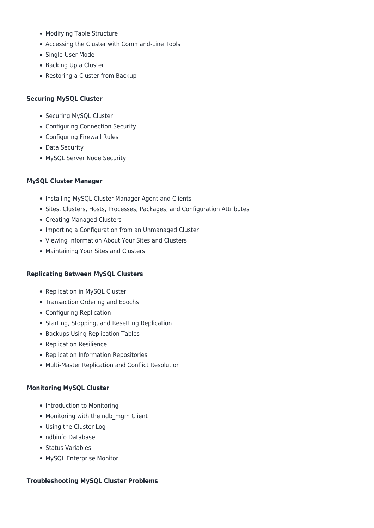- Modifying Table Structure
- Accessing the Cluster with Command-Line Tools
- Single-User Mode
- Backing Up a Cluster
- Restoring a Cluster from Backup

# **Securing MySQL Cluster**

- Securing MySQL Cluster
- Configuring Connection Security
- Configuring Firewall Rules
- Data Security
- MySQL Server Node Security

# **MySQL Cluster Manager**

- Installing MySQL Cluster Manager Agent and Clients
- Sites, Clusters, Hosts, Processes, Packages, and Configuration Attributes
- Creating Managed Clusters
- Importing a Configuration from an Unmanaged Cluster
- Viewing Information About Your Sites and Clusters
- Maintaining Your Sites and Clusters

## **Replicating Between MySQL Clusters**

- Replication in MySQL Cluster
- Transaction Ordering and Epochs
- Configuring Replication
- Starting, Stopping, and Resetting Replication
- Backups Using Replication Tables
- Replication Resilience
- Replication Information Repositories
- Multi-Master Replication and Conflict Resolution

## **Monitoring MySQL Cluster**

- Introduction to Monitoring
- Monitoring with the ndb mgm Client
- Using the Cluster Log
- ndbinfo Database
- Status Variables
- MySQL Enterprise Monitor

## **Troubleshooting MySQL Cluster Problems**